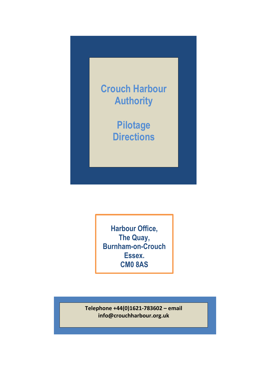

**Harbour Office, The Quay, Burnham-on-Crouch Essex. CM0 8AS**

**Telephone +44(0)1621-783602 – email info@crouchharbour.org.uk**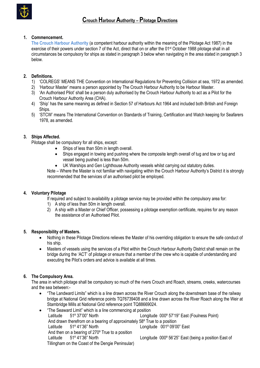

# **1. Commencement.**

**The Crouch Harbour Authority** (a competent harbour authority within the meaning of the Pilotage Act 1987) in the exercise of their powers under section 7 of the Act, direct that on or after the 01st October 1988 pilotage shall in all circumstances be compulsory for ships as stated in paragraph 3 below when navigating in the area stated in paragraph 3 below.

# **2. Definitions.**

- 1) 'COLREGS' MEANS THE Convention on International Regulations for Preventing Collision at sea, 1972 as amended.
- 2) 'Harbour Master' means a person appointed by The Crouch Harbour Authority to be Harbour Master.
- 3) 'An Authorised Pilot' shall be a person duly authorised by the Crouch Harbour Authority to act as a Pilot for the Crouch Harbour Authority Area (CHA).
- 4) 'Ship' has the same meaning as defined in Section 57 of Harbours Act 1964 and included both British and Foreign Ships.
- 5) 'STCW' means The International Convention on Standards of Training, Certification and Watch keeping for Seafarers 1978, as amended.

## **3. Ships Affected.**

Pilotage shall be compulsory for all ships, except:

- Ships of less than 50m in length overall.
- Ships engaged in towing and pushing where the composite length overall of tug and tow or tug and vessel being pushed is less than 50m.
- UK Warships and Gen Lighthouse Authority vessels whilst carrying out statutory duties.

Note – Where the Master is not familiar with navigating within the Crouch Harbour Authority's District it is strongly recommended that the services of an authorised pilot be employed.

## **4. Voluntary Pilotage**

If required and subject to availability a pilotage service may be provided within the compulsory area for:

- 1) A ship of less than 50m in length overall.
- 2) A ship with a Master or Chief Officer, possessing a pilotage exemption certificate, requires for any reason the assistance of an Authorised Pilot.

## **5. Responsibility of Masters.**

- Nothing in these Pilotage Directions relieves the Master of his overriding obligation to ensure the safe conduct of his ship.
- Masters of vessels using the services of a Pilot within the Crouch Harbour Authority District shall remain on the bridge during the 'ACT' of pilotage or ensure that a member of the crew who is capable of understanding and executing the Pilot's orders and advice is available at all times.

## **6. The Compulsory Area.**

The area in which pilotage shall be compulsory so much of the rivers Crouch and Roach, streams, creeks, watercourses and the sea between:-

- "The Landward Limits" which is a line drawn across the River Crouch along the downstream base of the railway bridge at National Grid reference points TQ76739408 and a line drawn across the River Roach along the Weir at Stambridge Mills at National Grid reference point TQ88669024.
- "The Seaward Limit" which is a line commencing at position Latitude 51º 37'00" North Longitude 000º 57'19" East (Foulness Point) And drawn therefrom on a bearing of approximately 58º True to a position Latitude 51º 41'36" North Longitude 001º 09'00" East And then on a bearing of 270º True to a position Latitude 51º 41'36" North Longitude 000º 56'25" East (being a position East of Tillingham on the Coast of the Dengie Peninsular)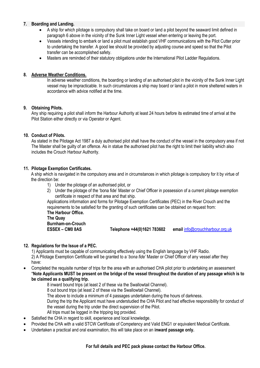#### **7. Boarding and Landing.**

- A ship for which pilotage is compulsory shall take on board or land a pilot beyond the seaward limit defined in paragraph 6 above in the vicinity of the Sunk Inner Light vessel when entering or leaving the port.
- Vessels intending to embark or land a pilot must establish good VHF communications with the Pilot Cutter prior to undertaking the transfer. A good lee should be provided by adjusting course and speed so that the Pilot transfer can be accomplished safety.
- Masters are reminded of their statutory obligations under the International Pilot Ladder Regulations.

#### **8. Adverse Weather Conditions.**

In adverse weather conditions, the boarding or landing of an authorised pilot in the vicinity of the Sunk Inner Light vessel may be impracticable. In such circumstances a ship may board or land a pilot in more sheltered waters in accordance with advice notified at the time.

## **9. Obtaining Pilots.**

Any ship requiring a pilot shall inform the Harbour Authority at least 24 hours before its estimated time of arrival at the Pilot Station either directly or via Operator or Agent.

## **10. Conduct of Pilots.**

As stated in the Pilotage Act 1987 a duly authorised pilot shall have the conduct of the vessel in the compulsory area if not The Master shall be guilty of an offence. As in statue the authorised pilot has the right to limit their liability which also includes the Crouch Harbour Authority.

#### **11. Pilotage Exemption Certificates.**

 A ship which is navigated in the compulsory area and in circumstances in which pilotage is compulsory for it by virtue of the direction be:

- 1) Under the pilotage of an authorised pilot, or
- 2) Under the pilotage of the 'bona fide' Master or Chief Officer in possession of a current pilotage exemption certificate in respect of that area and that ship.

Applications information and forms for Pilotage Exemption Certificates (PEC) in the River Crouch and the requirements to be satisfied for the granting of such certificates can be obtained on request from: **The Harbour Office.**

**The Quay Burnham-on-Crouch**

**ESSEX – CM0 8AS Telephone +44(0)1621 783602 email** [info@crouchharbour.org.uk](mailto:info@crouchharbour.org.uk)

## **12. Regulations for the Issue of a PEC.**

1) Applicants must be capable of communicating effectively using the English language by VHF Radio.

2) A Pilotage Exemption Certificate will be granted to a '*bona fide'* Master or Chief Officer of any vessel after they have:

- Completed the requisite number of trips for the area with an authorised CHA pilot prior to undertaking an assessment \***Note Applicants MUST be present on the bridge of the vessel throughout the duration of any passage which is to be claimed as a qualifying trip.**
	- 8 inward bound trips (at least 2 of these via the Swallowtail Channel).
	- 8 out bound trips (at least 2 of these via the Swallowtail Channel).
	- The above to include a minimum of 4 passages undertaken during the hours of darkness.

During the trip the Applicant must have understudied the CHA Pilot and had effective responsibility for conduct of the vessel during the trip under the direct supervision of the Pilot.

- All trips must be logged in the tripping log provided.
- Satisfied the CHA in regard to skill, experience and local knowledge.
- Provided the CHA with a valid STCW Certificate of Competency and Valid ENG1 or equivalent Medical Certificate.
- Undertaken a practical and oral examination, this will take place on an **inward passage only.**

#### **For full details and PEC pack please contact the Harbour Office.**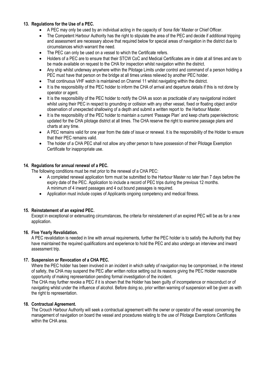#### **13. Regulations for the Use of a PEC.**

- A PEC may only be used by an individual acting in the capacity of *'bona fide'* Master or Chief Officer.
- The Competent Harbour Authority has the right to stipulate the area of the PEC and decide if additional tripping and assessment are necessary above that required below for special areas of navigation in the district due to circumstances which warrant the need.
- The PEC can only be used on a vessel to which the Certificate refers.
- Holders of a PEC are to ensure that their STCW CoC and Medical Certificates are in date at all times and are to be made available on request to the CHA for inspection whilst navigation within the district.
- Any ship whilst underway anywhere within the Pilotage Limits under control and command of a person holding a PEC must have that person on the bridge at all times unless relieved by another PEC holder.
- That continuous VHF watch is maintained on Channel 11 whilst navigating within the district.
- It is the responsibility of the PEC holder to inform the CHA of arrival and departure details if this is not done by operator or agent.
- It is the responsibility of the PEC holder to notify the CHA as soon as practicable of any navigational incident whilst using their PEC in respect to grounding or collision with any other vessel, fixed or floating object and/or observation of unexpected shallowing of a depth and submit a written report to the Harbour Master.
- It is the responsibility of the PEC holder to maintain a current 'Passage Plan' and keep charts paper/electronic updated for the CHA pilotage district at all times. The CHA reserve the right to examine passage plans and charts at any time.
- A PEC remains valid for one year from the date of issue or renewal. It is the responsibility of the Holder to ensure that their PEC remains valid.
- The holder of a CHA PEC shall not allow any other person to have possession of their Pilotage Exemption Certificate for inappropriate use.

## **14. Regulations for annual renewal of a PEC.**

The following conditions must be met prior to the renewal of a CHA PEC:

- A completed renewal application form must be submitted to the Harbour Master no later than 7 days before the expiry date of the PEC. Application to include a record of PEC trips during the previous 12 months. A minimum of 4 inward passages and 4 out bound passages is required.
- Application must include copies of Applicants ongoing competency and medical fitness.

#### **15. Reinstatement of an expired PEC.**

Except in exceptional or extenuating circumstances, the criteria for reinstatement of an expired PEC will be as for a new application.

#### **16. Five Yearly Revalidation.**

A PEC revalidation is needed in line with annual requirements, further the PEC holder is to satisfy the Authority that they have maintained the required qualifications and experience to hold the PEC and also undergo an interview and inward assessment trip.

#### **17. Suspension or Revocation of a CHA PEC.**

Where the PEC holder has been involved in an incident in which safety of navigation may be compromised, in the interest of safety, the CHA may suspend the PEC after written notice setting out its reasons giving the PEC Holder reasonable opportunity of making representation pending formal investigation of the incident.

The CHA may further revoke a PEC if it is shown that the Holder has been guilty of incompetence or misconduct or of navigating whilst under the influence of alcohol. Before doing so, prior written warning of suspension will be given as with the right to representation.

#### **18. Contractual Agreement.**

The Crouch Harbour Authority will seek a contractual agreement with the owner or operator of the vessel concerning the management of navigation on board the vessel and procedures relating to the use of Pilotage Exemptions Certificates within the CHA area.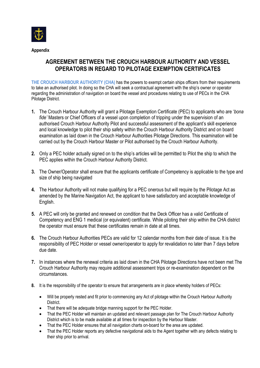

# **AGREEMENT BETWEEN THE CROUCH HARBOUR AUTHORITY AND VESSEL OPERATORS IN REGARD TO PILOTAGE EXEMPTION CERTIFICATES**

**THE CROUCH HARBOUR AUTHORITY (CHA)** has the powers to exempt certain ships officers from their requirements to take an authorised pilot. In doing so the CHA will seek a contractual agreement with the ship's owner or operator regarding the administration of navigation on board the vessel and procedures relating to use of PECs in the CHA Pilotage District.

- **1.** The Crouch Harbour Authority will grant a Pilotage Exemption Certificate (PEC) to applicants who are '*bona fide'* Masters or Chief Officers of a vessel upon completion of tripping under the supervision of an authorised Crouch Harbour Authority Pilot and successful assessment of the applicant's skill experience and local knowledge to pilot their ship safety within the Crouch Harbour Authority District and on board examination as laid down in the Crouch Harbour Authorities Pilotage Directions. This examination will be carried out by the Crouch Harbour Master or Pilot authorised by the Crouch Harbour Authority.
- **2.** Only a PEC holder actually signed on to the ship's articles will be permitted to Pilot the ship to which the PEC applies within the Crouch Harbour Authority District.
- **3.** The Owner/Operator shall ensure that the applicants certificate of Competency is applicable to the type and size of ship being navigated
- **4.** The Harbour Authority will not make qualifying for a PEC onerous but will require by the Pilotage Act as amended by the Marine Navigation Act, the applicant to have satisfactory and acceptable knowledge of English.
- **5.** A PEC will only be granted and renewed on condition that the Deck Officer has a valid Certificate of Competency and ENG 1 medical (or equivalent) certificate. While piloting their ship within the CHA district the operator must ensure that these certificates remain in date at all times.
- **6.** The Crouch Harbour Authorities PECs are valid for 12 calendar months from their date of issue. It is the responsibility of PEC Holder or vessel owner/operator to apply for revalidation no later than 7 days before due date.
- **7.** In instances where the renewal criteria as laid down in the CHA Pilotage Directions have not been met The Crouch Harbour Authority may require additional assessment trips or re-examination dependent on the circumstances.
- **8.** It is the responsibility of the operator to ensure that arrangements are in place whereby holders of PECs:
	- Will be properly rested and fit prior to commencing any Act of pilotage within the Crouch Harbour Authority District.
	- That there will be adequate bridge manning support for the PEC Holder.
	- That the PEC Holder will maintain an updated and relevant passage plan for The Crouch Harbour Authority District which is to be made available at all times for inspection by the Harbour Master.
	- That the PEC Holder ensures that all navigation charts on-board for the area are updated.
	- That the PEC Holder reports any defective navigational aids to the Agent together with any defects relating to their ship prior to arrival.